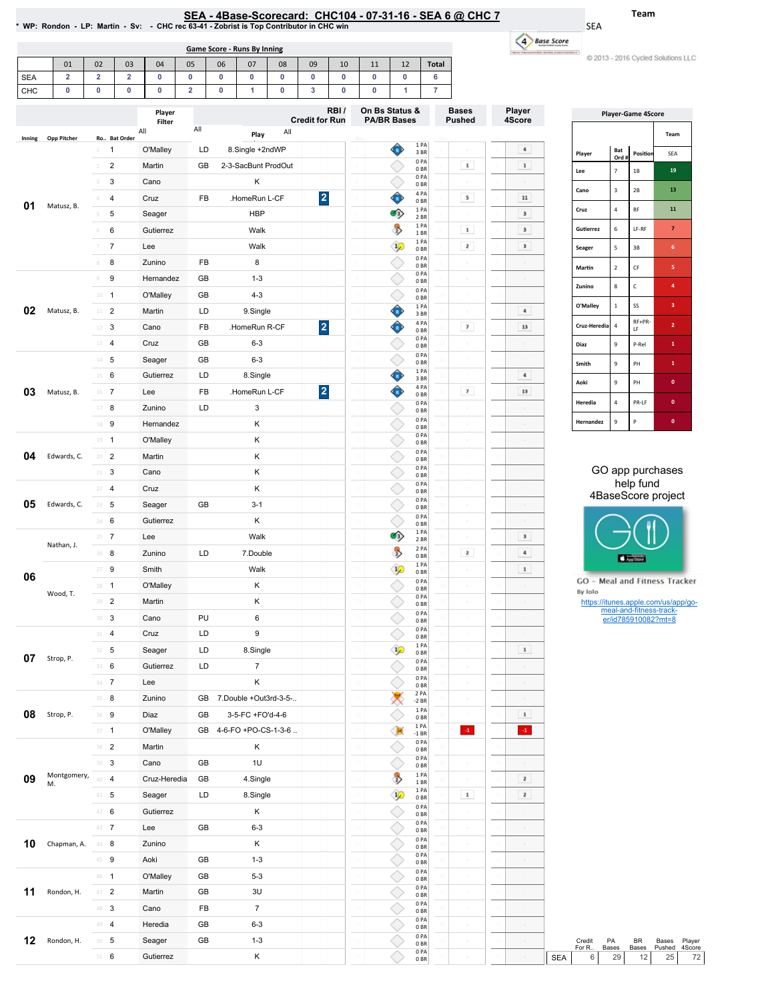## SEA - 4Base-Scorecard: CHC104 - 07-31-16 - SEA 6 @ CHC 7> \* WP: Rondon - LP: Martin - Sv: - CHC rec 63-41-Zobrist is Top Contributor in CHC win

01 | 02 | 03 | 04 | 05 | 06 | 07 | 08 | 09 | 10 | 11 | 12 | Total |

Game Score - Runs By Inning



C 2013 - 2016 Cycled Solutions LLC

| <b>SEA</b> | $\overline{\mathbf{2}}$ | $\overline{\mathbf{2}}$                   | $\overline{2}$ | 0                       | 0              | 0                    | 0                       | $\pmb{0}$              | $\pmb{0}$             | 0         |        | 0                                    | $\pmb{0}$              |                               | 6              |                               |                          |                                 |                         |                  |                        |
|------------|-------------------------|-------------------------------------------|----------------|-------------------------|----------------|----------------------|-------------------------|------------------------|-----------------------|-----------|--------|--------------------------------------|------------------------|-------------------------------|----------------|-------------------------------|--------------------------|---------------------------------|-------------------------|------------------|------------------------|
| CHC        | $\pmb{0}$               | $\pmb{0}$                                 | $\pmb{0}$      | 0                       | $\overline{2}$ | 0                    | 1                       | $\mathbf 0$            | $\mathbf{3}$          | $\pmb{0}$ |        | 0                                    | $\overline{1}$         |                               | $\overline{7}$ |                               |                          |                                 |                         |                  |                        |
|            |                         |                                           |                | Player<br>Filter<br>All | All            |                      |                         | All                    | <b>Credit for Run</b> | RBI/      |        | On Bs Status &<br><b>PA/BR Bases</b> |                        |                               |                | <b>Bases</b><br><b>Pushed</b> | Player<br>4Score         |                                 |                         |                  | Player-Game            |
| Inning     | <b>Opp Pitcher</b>      | $\mathbf{1}$<br>1                         | Ro Bat Order   | O'Malley                | LD             |                      | Play<br>8.Single +2ndWP |                        |                       |           |        |                                      | G                      | 1PA                           |                |                               | 4                        |                                 |                         | Bat              |                        |
|            |                         | $\overline{\mathbf{c}}$<br>$\mathfrak{I}$ |                | Martin                  | GB             |                      | 2-3-SacBunt ProdOut     |                        |                       |           |        |                                      |                        | 3BR<br>0PA                    |                | $\mathbf 1$                   | $\mathbf{1}$             |                                 | Player                  | Ord#             | Posi                   |
|            |                         | 3<br>3                                    |                | Cano                    |                |                      | Κ                       |                        |                       |           |        |                                      |                        | 0BR<br>0PA                    |                |                               |                          |                                 | Lee                     | $\overline{7}$   | $1\mathsf{B}$          |
|            |                         | $\overline{4}$<br>4                       |                | Cruz                    |                | FB<br>.HomeRun L-CF  |                         | $\overline{2}$         |                       |           |        | ♦                                    | 0BR<br>4 PA            |                               | 5              | $11\,$                        |                          | Cano                            | $\overline{\mathbf{3}}$ | $2\mathsf{B}$    |                        |
| 01         | Matusz, B.              | $\sqrt{5}$<br>5                           |                | Seager                  |                | <b>HBP</b>           |                         |                        |                       |           |        | $\bullet$                            | 0 <sub>BR</sub><br>1PA |                               |                | 3                             |                          | Cruz                            | $\overline{4}$          | $\mathsf{RF}$    |                        |
|            |                         | 6<br>6                                    |                | Gutierrez               |                |                      | Walk                    |                        |                       |           |        |                                      | $\rightarrow$          | 2 BR<br>1PA                   |                | $\mathbf 1$                   | $\overline{\mathbf{3}}$  |                                 | Gutierrez               | 6                | LF-R                   |
|            |                         | $\overline{7}$<br>7                       |                | Lee                     |                |                      | Walk                    |                        |                       |           |        |                                      | $\mathcal{P}$          | 1 BR<br>1PA                   |                | $\mathbf{z}$                  | 3                        |                                 |                         |                  |                        |
|            |                         | 8<br>$\,$ 8 $\,$                          |                | Zunino                  |                | FB<br>8              |                         |                        |                       |           |        |                                      | 0 <sub>BR</sub><br>0PA |                               |                |                               |                          | Seager                          | $\sqrt{5}$              | 3В               |                        |
|            |                         | 9<br>$\,9$                                |                | Hernandez               | GB             |                      | $1 - 3$                 |                        |                       |           |        |                                      |                        | 0BR<br>0PA                    |                |                               |                          |                                 | Martin                  | $\overline{2}$   | $\mathsf{CF}$          |
|            |                         | $10 - 1$                                  |                | O'Malley                |                |                      | $4 - 3$                 |                        |                       |           |        |                                      |                        | 0BR<br>0PA                    |                |                               |                          |                                 | Zunino                  | $\bf8$           | $\mathsf{C}$           |
| 02         | Matusz, B.              | $11$<br>$\overline{2}$                    |                | Martin                  |                | GB<br>LD<br>9.Single |                         |                        |                       |           |        | ♦                                    | 0BR<br>1PA             |                               |                | 4                             |                          | O'Malley                        | $\,1\,$                 | SS               |                        |
|            |                         | 3<br>12                                   |                | Cano                    | FB             |                      | .HomeRun R-CF           |                        | $\overline{2}$        |           |        |                                      | ♦                      | 3 BR<br>4 PA                  |                | $\tau$                        | $13\,$                   |                                 | Cruz-Heredia            | $\overline{4}$   | $RF+1$                 |
|            |                         | 13 4                                      |                | Cruz                    | GB             |                      | $6 - 3$                 |                        |                       |           |        |                                      |                        | 0BR<br>0PA                    |                |                               |                          |                                 | Diaz                    | $\mathsf g$      | LF<br>$P-R \epsilon$   |
|            |                         | 5<br>$14 -$                               |                | Seager                  | GB             |                      | $6 - 3$                 |                        |                       |           |        |                                      |                        | 0 <sub>BR</sub><br>0PA        |                |                               |                          |                                 |                         |                  |                        |
|            |                         | $15 - 6$                                  |                | Gutierrez               | LD             |                      | 8.Single                |                        |                       |           |        |                                      | O                      | 0 <sub>BR</sub><br>1PA        |                |                               | 4                        |                                 | Smith                   | $\mathsf g$      | PH                     |
| 03         | Matusz, B.              | $16$ 7                                    |                | Lee                     | FB             |                      | .HomeRun L-CF           |                        | $\overline{2}$        |           |        |                                      | Ô                      | 3 BR<br>4 PA                  |                | $\tau$                        | $13\,$                   |                                 | Aoki                    | $\mathsf g$      | PH                     |
|            |                         | 17<br>8                                   |                | Zunino                  | LD             |                      | 3                       |                        |                       |           |        |                                      |                        | 0BR<br>0PA                    |                |                               |                          |                                 | Heredia                 | $\overline{4}$   | PR-L                   |
|            |                         | 18 9                                      |                | Hernandez               |                |                      | Κ                       |                        |                       |           |        |                                      |                        | 0 <sub>BR</sub><br>0PA        |                |                               |                          |                                 | Hernandez               | $\boldsymbol{9}$ | $\mathsf{P}$           |
|            |                         | $19 - 1$                                  |                | O'Malley                |                |                      | Κ                       |                        |                       |           |        |                                      |                        | 0BR<br>0PA                    |                |                               |                          |                                 |                         |                  |                        |
| 04         | Edwards, C.             | $20 - 2$                                  |                | Martin                  |                |                      | Κ                       |                        |                       |           |        |                                      |                        | 0 <sub>BR</sub><br>0PA        |                |                               |                          |                                 |                         |                  |                        |
|            |                         | $21 - 3$                                  |                | Cano                    |                |                      | Κ                       |                        |                       |           |        |                                      |                        | 0 <sub>BR</sub><br>0PA        |                |                               |                          |                                 |                         |                  | GO app pu              |
|            |                         | $22 - 4$                                  |                | Cruz                    |                |                      | К                       |                        |                       |           |        |                                      |                        | 0BR<br>0PA                    |                |                               |                          |                                 |                         |                  | help fu                |
| 05         | Edwards, C.             | $23 - 5$                                  |                | Seager                  | GB             |                      | $3 - 1$                 |                        |                       |           |        |                                      |                        | 0BR<br>0PA                    |                |                               |                          |                                 |                         |                  | 4BaseScor              |
|            |                         | 24 6                                      |                | Gutierrez               |                |                      | Κ                       |                        |                       |           |        |                                      |                        | 0 <sub>BR</sub><br>0PA        |                |                               |                          |                                 |                         |                  |                        |
|            |                         | $25 \, -7$                                |                | Lee                     |                |                      | Walk                    |                        |                       |           |        |                                      | $\circledast$          | 0BR<br>1PA                    |                |                               | 3                        |                                 |                         |                  |                        |
|            | Nathan, J.              | $26$ 8                                    |                | Zunino                  | LD             |                      | 7.Double                |                        |                       |           |        |                                      | $\rightarrow$          | 2 BR<br>2 PA                  |                | $\mathbf{z}$                  | 4                        |                                 |                         |                  |                        |
|            |                         | 27<br>9                                   |                | Smith                   |                |                      | Walk                    |                        |                       |           |        |                                      | $\mathcal{P}$          | 0BR<br>1PA                    |                |                               | $\mathbf{1}$             |                                 |                         |                  | <b>App Store</b>       |
| 06         |                         | $28 - 1$                                  |                | O'Malley                |                |                      | Κ                       |                        |                       |           |        |                                      |                        | 0BR<br>0PA                    |                |                               |                          |                                 | GO - Meal and Fi        |                  |                        |
|            | Wood, T.                | $\overline{c}$<br>29                      |                | Martin                  |                |                      | Κ                       |                        |                       |           |        |                                      |                        | 0BR<br>0PA                    |                |                               |                          | By Iolo<br>https://itunes.apple |                         |                  |                        |
|            |                         | 30 <sup>3</sup>                           |                | Cano                    | PU             |                      | 6                       |                        |                       |           |        |                                      |                        | 0BR<br>0PA                    |                |                               |                          |                                 | meal-and-fitr           |                  |                        |
|            |                         | 31 4                                      |                | Cruz                    | LD             |                      | 9                       |                        |                       |           |        |                                      |                        | 0BR<br>0PA                    |                |                               |                          |                                 | er/id785910             |                  |                        |
|            |                         | $32 - 5$                                  |                | Seager                  | LD             |                      | 8.Single                |                        |                       |           |        |                                      | $\mathcal{P}$          | 0BR<br>1PA                    |                |                               | $\mathbf 1$              |                                 |                         |                  |                        |
| 07         | Strop, P.               | 33 6                                      |                | Gutierrez               | LD             |                      | $\overline{7}$          |                        |                       |           |        |                                      |                        | 0BR<br>0 PA                   |                |                               |                          |                                 |                         |                  |                        |
|            |                         | $34 - 7$                                  |                | Lee                     |                |                      | Κ                       |                        |                       |           |        |                                      |                        | 0BR<br>0PA                    |                |                               |                          |                                 |                         |                  |                        |
|            |                         | $35 - 8$                                  |                | Zunino                  | GB             |                      |                         | 7.Double +Out3rd-3-5-  |                       |           |        |                                      |                        | 0BR<br>2 PA                   |                |                               |                          |                                 |                         |                  |                        |
| 08         | Strop, P.               | 36 9                                      |                | Diaz                    | GB             |                      | 3-5-FC +FO'd-4-6        |                        |                       |           |        |                                      |                        | $-2$ BR<br>1PA                |                |                               | $\mathbf 1$              |                                 |                         |                  |                        |
|            |                         | $37 - 1$                                  |                | O'Malley                |                |                      |                         | GB 4-6-FO +PO-CS-1-3-6 |                       |           |        |                                      | Œ                      | 0B<br>$1\ \mathsf{PA}$        |                | $\langle 4 \rangle$           | $\langle {\bf 4}\rangle$ |                                 |                         |                  |                        |
|            |                         | $38 - 2$                                  |                | Martin                  |                |                      | Κ                       |                        |                       |           |        |                                      |                        | $-1$ BR<br>0PA                |                |                               |                          |                                 |                         |                  |                        |
|            |                         | $39 - 3$                                  |                | Cano                    | GB             |                      | $1\mathsf{U}$           |                        |                       |           |        |                                      |                        | 0B<br>0PA                     |                |                               |                          |                                 |                         |                  |                        |
| 09         | Montgomery,             | 40 4                                      |                | Cruz-Heredia            | GB             |                      | 4.Single                |                        |                       |           |        |                                      | $\rightarrow$          | 0 <sub>BR</sub><br>1PA        |                |                               | $\mathbf{z}$             |                                 |                         |                  |                        |
|            | M.                      | $41-5$                                    |                | Seager                  | LD             |                      | 8.Single                |                        |                       |           |        |                                      | $\mathcal{P}$          | 1BR<br>1PA                    |                | $\mathbf 1$                   | $\mathbf{z}$             |                                 |                         |                  |                        |
|            |                         | 42 6                                      |                | Gutierrez               |                |                      | Κ                       |                        |                       |           |        |                                      |                        | 0BR<br>0 PA                   |                |                               |                          |                                 |                         |                  |                        |
|            |                         | 43 7                                      |                | Lee                     | GB             |                      | $6 - 3$                 |                        |                       |           |        |                                      |                        | 0BR<br>0PA                    |                |                               |                          |                                 |                         |                  |                        |
| 10         | Chapman, A.             | $44 - 8$                                  |                | Zunino                  |                |                      | Κ                       |                        |                       |           |        |                                      |                        | 0BR<br>0PA                    |                |                               |                          |                                 |                         |                  |                        |
|            |                         | 45 9                                      |                | Aoki                    | GB             |                      | $1 - 3$                 |                        |                       |           |        |                                      |                        | 0 <sub>BR</sub><br>0PA        |                |                               |                          |                                 |                         |                  |                        |
|            |                         | $46 - 1$                                  |                | O'Malley                | GB             |                      | $5 - 3$                 |                        |                       |           | $\sim$ |                                      |                        | 0BR<br>0 PA                   |                |                               |                          |                                 |                         |                  |                        |
| 11         | Rondon, H.              | $47$ – $2$                                |                | Martin                  | GB             |                      | 3U                      |                        |                       |           |        |                                      |                        | 0 <sub>BR</sub><br>0PA        |                |                               |                          |                                 |                         |                  |                        |
|            |                         | 48 3                                      |                | Cano                    | FB             |                      | $\overline{7}$          |                        |                       |           |        |                                      |                        | 0BR<br>0PA                    |                |                               |                          |                                 |                         |                  |                        |
|            |                         | 49 4                                      |                | Heredia                 | GB             |                      | $6 - 3$                 |                        |                       |           |        |                                      |                        | 0 <sub>BR</sub><br>0PA        |                |                               |                          |                                 |                         |                  |                        |
| 12         | Rondon, H.              | 50 <sub>5</sub>                           |                | Seager                  | GB             |                      | $1 - 3$                 |                        |                       |           |        |                                      |                        | 0BR<br>0PA                    |                |                               |                          |                                 | Credit                  | PA               | BR                     |
|            |                         | 51 6                                      |                | Gutierrez               |                |                      | Κ                       |                        |                       |           |        |                                      |                        | 0BR<br>0PA<br>0 <sub>BR</sub> |                |                               |                          | <b>SEA</b>                      | For R<br>6              | Bases<br>29      | Base<br>$\overline{1}$ |
|            |                         |                                           |                |                         |                |                      |                         |                        |                       |           |        |                                      |                        |                               |                |                               |                          |                                 |                         |                  |                        |

-Game 4Score Team SEA Bat<br>Ord # Position  $1B$  $2B$ 13 RF 11  $LF-RF$ 7  $3B$  $CF$ Zunino 8 C  $SS$ RF+PR-LF Cruz-Heredia 4 Diaz 9 P-Rel Smith 9 PH Aoki 9 PH Heredia 4 PR-LF e e

### pp purchases elp fund Score project



and Fitness Tracker

https://itunes.apple.com/us/app/go-meal-and-fitness-track-er/id785910082?mt=8

BR Bases

Bases Pushed Player 4Score 12 25 72

Team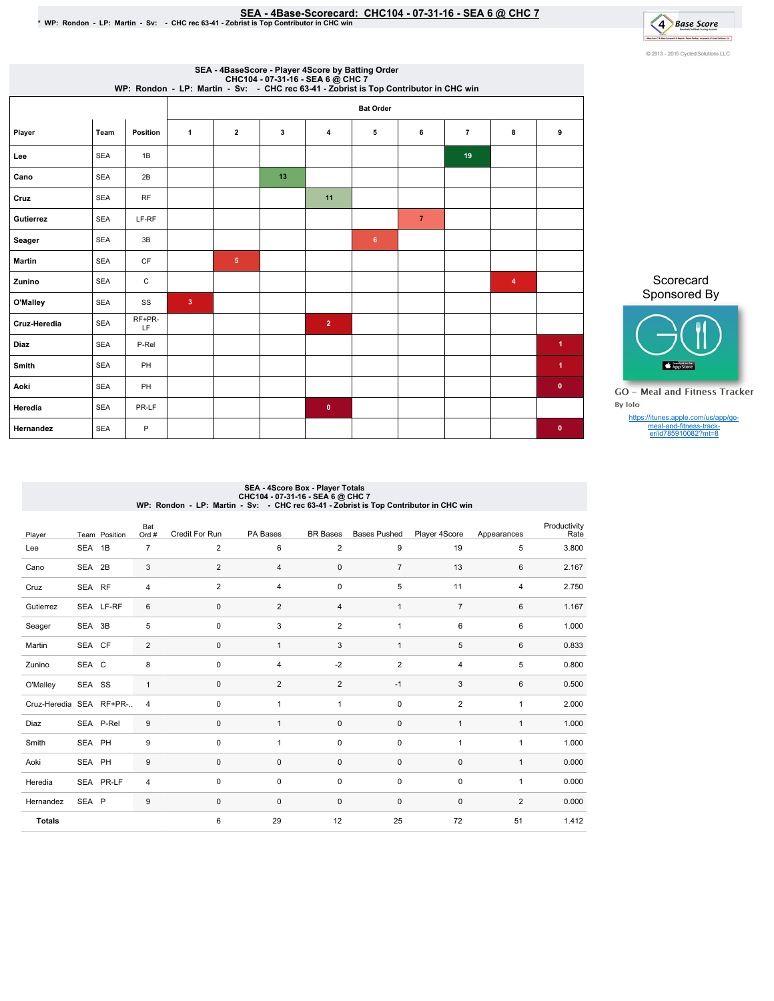## SEA - 4Base-Scorecard: CHC104 - 07-31-16 - SEA 6 @ CHC 7 & "WP: Rondon - LP: Martin - Sv: - CHC rec 63-41 - Zobrist is Top Contributor in CHC win



|               | SEA - 4BaseScore - Player 4Score by Batting Order<br>WP: Rondon - LP: Martin - Sv: - CHC104 - 07-31-16 - SEA 6 @ CHC 7<br>WP: Rondon - LP: Martin - Sv: - CHC rec 63-41 - Zobrist is Top Contributor in CHC win |              |                  |                |    |                |                |                |                |                |                      |  |  |  |  |
|---------------|-----------------------------------------------------------------------------------------------------------------------------------------------------------------------------------------------------------------|--------------|------------------|----------------|----|----------------|----------------|----------------|----------------|----------------|----------------------|--|--|--|--|
|               |                                                                                                                                                                                                                 |              | <b>Bat Order</b> |                |    |                |                |                |                |                |                      |  |  |  |  |
| Player        | Team                                                                                                                                                                                                            | Position     | $\mathbf{1}$     | $\overline{2}$ | 3  | 4              | 5              | 6              | $\overline{7}$ | 8              | 9                    |  |  |  |  |
| Lee           | <b>SEA</b>                                                                                                                                                                                                      | 1B           |                  |                |    |                |                |                | 19             |                |                      |  |  |  |  |
| Cano          | <b>SEA</b>                                                                                                                                                                                                      | 2B           |                  |                | 13 |                |                |                |                |                |                      |  |  |  |  |
| Cruz          | <b>SEA</b>                                                                                                                                                                                                      | RF           |                  |                |    | 11             |                |                |                |                |                      |  |  |  |  |
| Gutierrez     | <b>SEA</b>                                                                                                                                                                                                      | LF-RF        |                  |                |    |                |                | $\overline{7}$ |                |                |                      |  |  |  |  |
| Seager        | <b>SEA</b>                                                                                                                                                                                                      | 3B           |                  |                |    |                | 6 <sup>1</sup> |                |                |                |                      |  |  |  |  |
| <b>Martin</b> | <b>SEA</b>                                                                                                                                                                                                      | <b>CF</b>    |                  | 5 <sub>5</sub> |    |                |                |                |                |                |                      |  |  |  |  |
| Zunino        | <b>SEA</b>                                                                                                                                                                                                      | $\mathtt{C}$ |                  |                |    |                |                |                |                | $\overline{4}$ |                      |  |  |  |  |
| O'Malley      | <b>SEA</b>                                                                                                                                                                                                      | SS           | 3 <sup>2</sup>   |                |    |                |                |                |                |                |                      |  |  |  |  |
| Cruz-Heredia  | <b>SEA</b>                                                                                                                                                                                                      | RF+PR-<br>LF |                  |                |    | $\overline{2}$ |                |                |                |                |                      |  |  |  |  |
| <b>Diaz</b>   | <b>SEA</b>                                                                                                                                                                                                      | P-Rel        |                  |                |    |                |                |                |                |                | $\blacktriangleleft$ |  |  |  |  |
| Smith         | <b>SEA</b>                                                                                                                                                                                                      | PH           |                  |                |    |                |                |                |                |                | $\blacktriangleleft$ |  |  |  |  |
| Aoki          | <b>SEA</b>                                                                                                                                                                                                      | PH           |                  |                |    |                |                |                |                |                | $\bullet$            |  |  |  |  |
| Heredia       | <b>SEA</b>                                                                                                                                                                                                      | PR-LF        |                  |                |    | $\mathbf{0}$   |                |                |                |                |                      |  |  |  |  |
| Hernandez     | <b>SEA</b>                                                                                                                                                                                                      | P            |                  |                |    |                |                |                |                |                | $\pmb{0}$            |  |  |  |  |

Scorecard Sponsored By



**GO** - Meal and Fitness Tracker By Iolo

https://itunes.apple.com/us/app/go-meal-and-fitness-track-er/id785910082?mt=8

# SEA - 4Score Box - Player Totals<br>CHC104 - 07-31-16 - SPA 6 @ CHC10<br>WP: Rondon - LP: Martin - Sv: - CHC rec 63-41 - Zobrist is Top Contributor in CHC win

| Player                  |        | Team Position | Bat<br>Ord #   | Credit For Run          | PA Bases       | <b>BR</b> Bases | <b>Bases Pushed</b> | Player 4Score  | Appearances    | Productivity<br>Rate |
|-------------------------|--------|---------------|----------------|-------------------------|----------------|-----------------|---------------------|----------------|----------------|----------------------|
| Lee                     | SEA 1B |               | $\overline{7}$ | $\overline{2}$          | 6              | 2               | 9                   | 19             | 5              | 3.800                |
| Cano                    | SEA 2B |               | 3              | $\overline{\mathbf{c}}$ | $\overline{4}$ | 0               | $\overline{7}$      | 13             | 6              | 2.167                |
| Cruz                    | SEA RF |               | $\overline{4}$ | $\overline{2}$          | $\overline{4}$ | 0               | 5                   | 11             | 4              | 2.750                |
| Gutierrez               |        | SEA LF-RF     | 6              | 0                       | $\overline{2}$ | 4               | $\mathbf{1}$        | $\overline{7}$ | 6              | 1.167                |
| Seager                  | SEA 3B |               | 5              | $\mathbf 0$             | 3              | $\overline{2}$  | 1                   | 6              | 6              | 1.000                |
| Martin                  | SEA CF |               | $\overline{2}$ | $\mathbf 0$             | $\overline{1}$ | 3               | $\mathbf{1}$        | 5              | 6              | 0.833                |
| Zunino                  | SEA C  |               | 8              | $\mathbf 0$             | $\overline{4}$ | $-2$            | $\overline{2}$      | 4              | 5              | 0.800                |
| O'Malley                | SEA SS |               | $\mathbf{1}$   | 0                       | $\overline{2}$ | $\overline{2}$  | $-1$                | 3              | 6              | 0.500                |
| Cruz-Heredia SEA RF+PR- |        |               | $\overline{4}$ | 0                       | $\overline{1}$ | $\mathbf{1}$    | $\mathbf 0$         | $\overline{2}$ | $\mathbf{1}$   | 2.000                |
| Diaz                    |        | SEA P-Rel     | $9\,$          | $\mathbf 0$             | $\overline{1}$ | 0               | $\mathbf 0$         | $\mathbf{1}$   | $\mathbf{1}$   | 1.000                |
| Smith                   | SEA PH |               | 9              | $\mathbf 0$             | $\overline{1}$ | $\mathbf 0$     | 0                   | 1              | $\mathbf{1}$   | 1.000                |
| Aoki                    | SEA PH |               | 9              | $\mathbf 0$             | $\mathbf 0$    | $\mathbf{0}$    | $\mathbf 0$         | $\mathbf 0$    | $\mathbf{1}$   | 0.000                |
| Heredia                 |        | SEA PR-LF     | 4              | $\mathbf 0$             | $\mathbf 0$    | 0               | $\mathbf 0$         | $\mathbf 0$    | $\mathbf{1}$   | 0.000                |
| Hernandez               | SEA P  |               | $9\,$          | $\mathbf 0$             | $\mathbf 0$    | $\mathbf{0}$    | $\mathbf 0$         | $\mathbf 0$    | $\overline{2}$ | 0.000                |
| <b>Totals</b>           |        |               |                | 6                       | 29             | 12              | 25                  | 72             | 51             | 1.412                |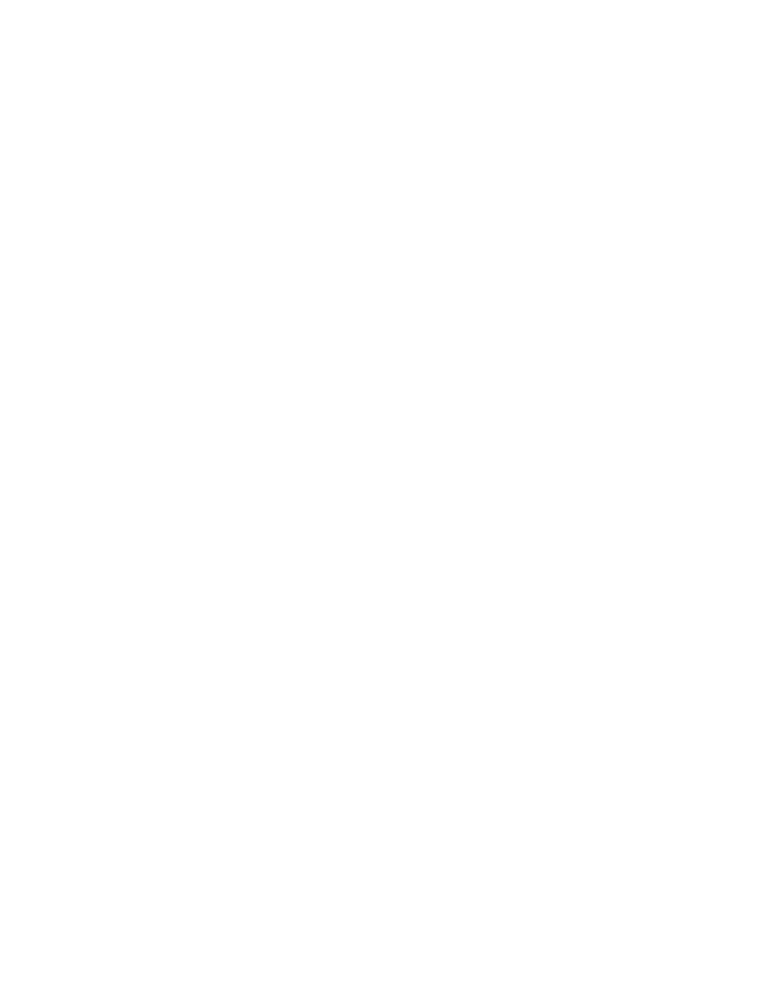|                |      |                                       |           |  | 6 (\$ %DVH6FRUH 30D NHU 6FRUHE \ %DWMLQJ 2 UGHU                                 |  |  |  |  |  |  |  |  |
|----------------|------|---------------------------------------|-----------|--|---------------------------------------------------------------------------------|--|--|--|--|--|--|--|--|
|                |      |                                       |           |  | $+8$<br>:3 5 RQGRQ /3 0 DUMQ 6Y & + & U+F = REULWIN 7RS & RQMUEXMRUIQ & + & ZIQ |  |  |  |  |  |  |  |  |
|                |      |                                       | %DW2 UGHU |  |                                                                                 |  |  |  |  |  |  |  |  |
| 300 HU         | 7HDP | 3 RVUMRQ                              |           |  |                                                                                 |  |  |  |  |  |  |  |  |
| / H            | 6(   | %                                     |           |  |                                                                                 |  |  |  |  |  |  |  |  |
| &DQR           | 6(   | $\%$                                  |           |  |                                                                                 |  |  |  |  |  |  |  |  |
| &UX]           | 6(   | 5)                                    |           |  |                                                                                 |  |  |  |  |  |  |  |  |
| <b>HUHWX</b> * | 6(   | ( ) 5)                                |           |  |                                                                                 |  |  |  |  |  |  |  |  |
| 6HDJHU         | 6(   | %                                     |           |  |                                                                                 |  |  |  |  |  |  |  |  |
| 0 DUMQ         | 6(   | &)                                    |           |  |                                                                                 |  |  |  |  |  |  |  |  |
| $=XQQR$        | 6(   | &                                     |           |  |                                                                                 |  |  |  |  |  |  |  |  |
| 2 0 DOM        | 6(   | 66                                    |           |  |                                                                                 |  |  |  |  |  |  |  |  |
| &UX] + HUHGID  | 6(   | 5) 35<br>$\left( \frac{1}{2} \right)$ |           |  |                                                                                 |  |  |  |  |  |  |  |  |
| $\mathbf{D}$   | 6(   | 3 5 HO                                |           |  |                                                                                 |  |  |  |  |  |  |  |  |
| 6PLM           | 6(   | $3+$                                  |           |  |                                                                                 |  |  |  |  |  |  |  |  |
| \$RNL          | 6(   | $3+$                                  |           |  |                                                                                 |  |  |  |  |  |  |  |  |
| $+HHGD$        | 6(   | 35/                                   |           |  |                                                                                 |  |  |  |  |  |  |  |  |
| $+HDDQGH$      | 6(   | 3                                     |           |  |                                                                                 |  |  |  |  |  |  |  |  |

 $\underbrace{6 (\textcolor{red}{\textcircled{s}} \textcolor{blue}{\bullet} \textcolor{blue}{\textcircled{s}} \textcolor{blue}{+ 8.48 \text{ U-F}} \underbrace{6 (\textcolor{red}{\textcircled{s}} \textcolor{blue}{\bullet} \textcolor{blue}{\textcircled{s}} \textcolor{blue}{+ 8.48 \text{ U-F}}}_{=\text{REUWW} \textcolor{red}{\textcircled{s}} \textcolor{blue}{+ 8.8 \text{CME} \textcolor{blue}{\textcircled{s}} \textcolor{blue}{+ 8.2 \text{ U}}}\underbrace{8 + 8.00 \text{ V}}$ 

6 FRUHFDLG 6 SROVRUHG %

 $6($  \$ #  $8+8$ 

<u>KWOSY WACHYDSSOBIERP XYDSSJR</u><br>PHDODOGILWOHWWDEN<br>HULG "PW

|     |                              |  | $8 + 8$ | 6(\$ 6FRUH%RI 300)\HU7RWDOV | $6(S + 8 + 8)$ |                                           |  |
|-----|------------------------------|--|---------|-----------------------------|----------------|-------------------------------------------|--|
|     | $: 3$ 5 RQGRQ /3 0 DUMLQ 6 Y |  |         | $8+8$ UHF                   |                | $=$ REULWAV 7 RS & ROMMEXWRULQ & + & Z LQ |  |
| %DW |                              |  |         |                             |                |                                           |  |

| 30 NU                    |              | 7HDP 3 RVMMRQ                  | %DW<br>$2 \text{ }\mathsf{L}$ | & UHGLV) RU5 XQ | 3\$ %DMHV | %5 %DVHV | %DVHV3XVKHG | 300 NU 6 FRUH | \$SSHDUDGFHV | 3 URGXFWYUW<br>5DM |
|--------------------------|--------------|--------------------------------|-------------------------------|-----------------|-----------|----------|-------------|---------------|--------------|--------------------|
| / H                      | 6(           | $\%$                           |                               |                 |           |          |             |               |              |                    |
| &DQR                     | 6(           | $\%$                           |                               |                 |           |          |             |               |              |                    |
| &UX]                     | $6($ \$ 5)   |                                |                               |                 |           |          |             |               |              |                    |
| * XWHUH                  |              | 6( <b>§</b> / ) 5)             |                               |                 |           |          |             |               |              |                    |
| 6HDJHU                   | $6($ \$      | $\%$                           |                               |                 |           |          |             |               |              |                    |
| 0 DUMOR                  | $6($ \$ $8)$ |                                |                               |                 |           |          |             |               |              |                    |
| $=XQQR$                  | $6($ \$ &    |                                |                               |                 |           |          |             |               |              |                    |
| 2 0 DOM                  | $6($ \$ 66   |                                |                               |                 |           |          |             |               |              |                    |
| &UX] + HUHGID 6(\$ 5) 35 |              |                                |                               |                 |           |          |             |               |              |                    |
| $\Box$                   |              | 6( <b>§</b> 35H <sup>o</sup> ) |                               |                 |           |          |             |               |              |                    |
| 6PLW                     | $6(§ 3+$     |                                |                               |                 |           |          |             |               |              |                    |
| \$RNL                    | $6(§ 3+$     |                                |                               |                 |           |          |             |               |              |                    |
| $+HHGD$                  |              | 6( <b>§</b> 35/)               |                               |                 |           |          |             |               |              |                    |
| + HLODOGH                | $6($ \$ 3    |                                |                               |                 |           |          |             |               |              |                    |
| 7RWDOV                   |              |                                |                               |                 |           |          |             |               |              |                    |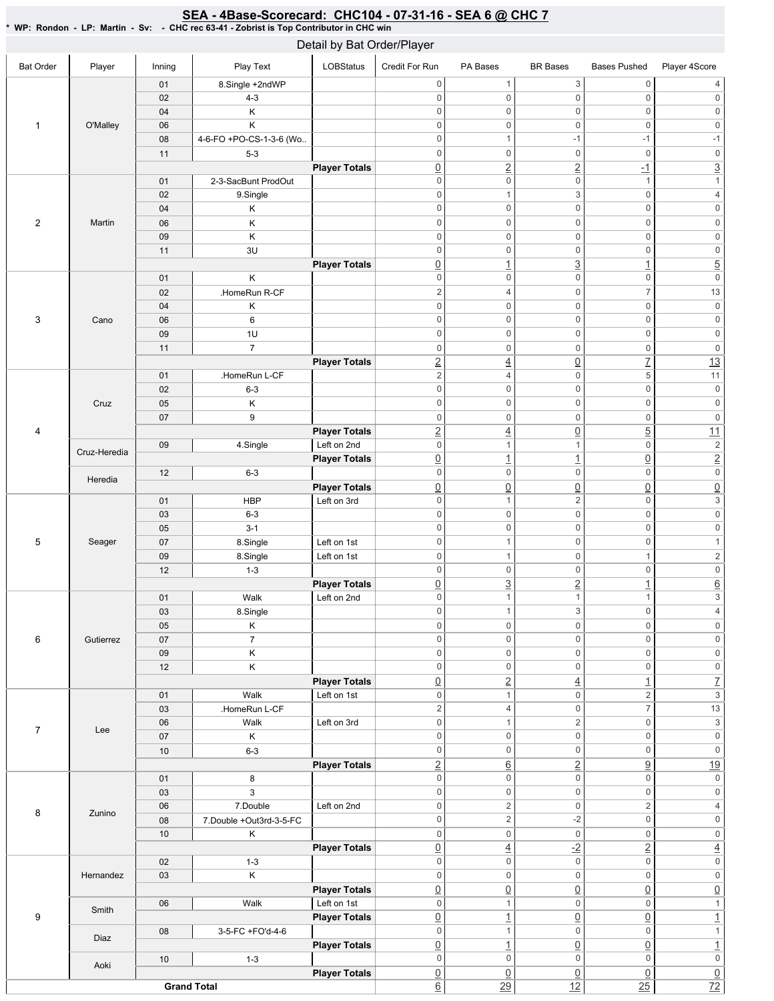#### Bat Order | Player | Inning | PlayText | LOBStatus Credit For Run PA Bases BR Bases Bases Pushed Player 4Score 1 O'Malley 01 8.Single +2ndWP 02 4-3 04 K 06 K 08 4-6-FO +PO-CS-1-3-6 (Wo... 11 5-3 **Player Totals** 2 Martin 01 2-3-SacBunt ProdOut 02 9.Single 04 K 06 K 09 K 11 3U **Player Totals** 3 Cano 01 K 02 | .HomeRun R-CF 04 K 06 6 09 1U 11 7 **Player Totals** 4 Cruz 01 .HomeRun L-CF 02 6-3 05 K 07 9 **Player Totals** Cruz-Heredia 09 | 4.Single Left on 2nd **Player Totals** Heredia 12 6-3 **Player Totals** 5 Seager 01 HBP Left on 3rd 03 6-3 05 3-1 07 | 8.Single | Left on 1st 09 8.Single Left on 1st 12 1-3 **Player Totals** 6 Gutierrez 01 | Walk Left on 2nd 03 8.Single 05 K 07 7 09 K 12 K **Player Totals** 7 Lee 01 Walk Left on 1st 03 .HomeRun L-CF 06 | Walk Left on 3rd 07 K 10 6-3 **Player Totals** 8 Zunino 01 8 03 3 06 7.Double Left on 2nd 08 7.Double +Out3rd-3-5-FC 10 K **Player Totals** 9 Hernandez 02 1-3 03 K **Player Totals** Smith 06 | Walk Left on 1st **Player Totals** Diaz 08 3-5-FC + FO'd-4-6 **Player Totals** Aoki  $10$  1-3 **Player Totals Grand Total** 0 1 3 0 4 0 0 0 0 0 0 0 0 0 0 0 0 0 0 0 0 0 0 0  $1$  -1 -1 -1 -1 0 0 0 0 0 0  $\boxed{0}$   $\boxed{2}$   $\boxed{2}$   $\boxed{1}$   $\boxed{3}$ 0 0 1 1 1 0 1 3 0 4 0 0 0 0 0 0 0 0 0 0 0 0 0 0 0 0 0 0 0 0 0 0 0 0  $\boxed{0}$  1  $\boxed{3}$  1  $\boxed{5}$ 0 0 0 0 0 0 2 4 0 7 13 0 0 0 0 0 0 0 0 0 0 0 0 0 0 0 0 0 0 0 0 0 0 0 0 2 4 0 7 13 2 4 0 5 11 0 0 0 0 0 0 0 0 0 0 0 0 0 0 0 0 0 0  $\boxed{2}$   $\boxed{4}$   $\boxed{0}$   $\boxed{5}$   $\boxed{11}$ 0 1 1 0 2  $\boxed{0}$  1  $\boxed{1}$   $\boxed{0}$  2 0 0 0 0 0 0  $\overline{0}$   $\overline{0}$   $\overline{0}$   $\overline{0}$   $\overline{0}$   $\overline{0}$   $\overline{0}$ 0 1 2 0 3 0 0 0 0 0 0 0 0 0 0 0 0 0 0 1 0 1 0 1 0 1 2 0 0 0 0 0 0  $\boxed{0}$   $\boxed{3}$   $\boxed{2}$   $\boxed{1}$   $\boxed{6}$ 0 1 1 1  $1$  3 0 1 3 0 4 0 0 0 0 0 0 0 0 0 0 0 0 0 0 0 0 0 0 0 0 0 0 0 0 0 2 4 1 7 0 1 0 2 3 2 4 0 7 13 0 1 2 0 3 0 0 0 0 0 0 0 0 0 0 0 0  $\frac{2}{9}$  6  $\frac{2}{9}$  9 19 0 0 0 0 0 0 0 0 0 0 0 0  $0 \qquad \qquad 2 \qquad \qquad 0 \qquad \qquad 2 \qquad \qquad 4$ 0  $2$  -2 0 0 0 0 0 0 0 0 0 4 -2 2 4 0 0 0 0 0 0 0 0 0 0 0 0  $\overline{0}$   $\overline{0}$   $\overline{0}$   $\overline{0}$   $\overline{0}$   $\overline{0}$   $\overline{0}$ 0 0 1 0 1  $\boxed{0}$  1  $\boxed{0}$   $\boxed{0}$  1 0 0 1 0 1  $\boxed{0}$  1  $\boxed{0}$   $\boxed{0}$  1 0 0 0 0 0 0 0 0 0 0 0 <u>6</u> 29 12 25 72 Detail by Bat Order/Player

### SEA - 4Base-Scorecard: CHC104 - 07-31-16 - SEA 6 @ CHC 7

\* WP: Rondon-LP: Martin-Sv: -CHC rec 63-41 - Zobrist is Top Contributor in CHC win